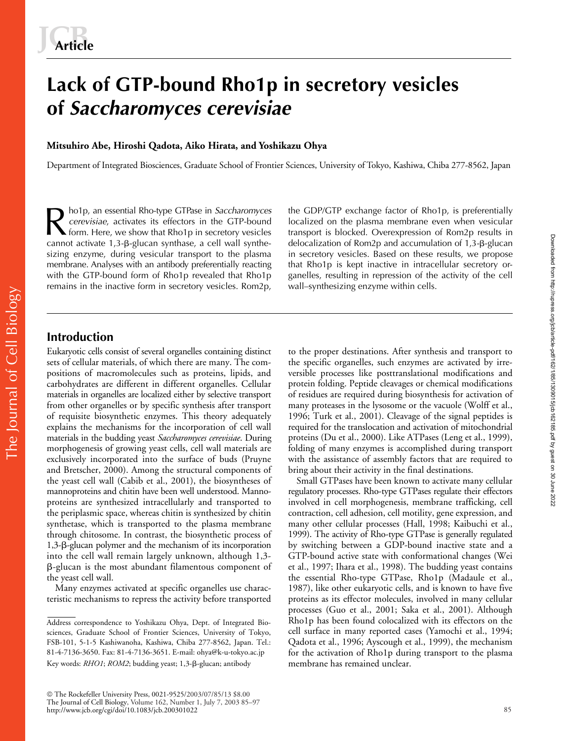# **Lack of GTP-bound Rho1p in secretory vesicles of** *Saccharomyces cerevisiae*

## **Mitsuhiro Abe, Hiroshi Qadota, Aiko Hirata, and Yoshikazu Ohya**

Department of Integrated Biosciences, Graduate School of Frontier Sciences, University of Tokyo, Kashiwa, Chiba 277-8562, Japan

ho1p, an essential Rho-type GTPase in *Saccharomyces* the GDP/GTP exchange factor of Rho1p, is preferentially cerevisiae, activates its effectors in the GTP-bound localized on the plasma membrane even when vesicular from. *cerevisiae*, activates its effectors in the GTP-bound form. Here, we show that Rho1p in secretory vesicles cannot activate 1,3-<sub>B</sub>-glucan synthase, a cell wall synthesizing enzyme, during vesicular transport to the plasma membrane. Analyses with an antibody preferentially reacting with the GTP-bound form of Rho1p revealed that Rho1p remains in the inactive form in secretory vesicles. Rom2p,

localized on the plasma membrane even when vesicular transport is blocked. Overexpression of Rom2p results in delocalization of Rom2p and accumulation of 1,3-β-glucan in secretory vesicles. Based on these results, we propose that Rho1p is kept inactive in intracellular secretory organelles, resulting in repression of the activity of the cell wall–synthesizing enzyme within cells.

# **Introduction**

The Journal of Cell Biology

The Journal of Cell Biology

Eukaryotic cells consist of several organelles containing distinct sets of cellular materials, of which there are many. The compositions of macromolecules such as proteins, lipids, and carbohydrates are different in different organelles. Cellular materials in organelles are localized either by selective transport from other organelles or by specific synthesis after transport of requisite biosynthetic enzymes. This theory adequately explains the mechanisms for the incorporation of cell wall materials in the budding yeast *Saccharomyces cerevisiae*. During morphogenesis of growing yeast cells, cell wall materials are exclusively incorporated into the surface of buds (Pruyne and Bretscher, 2000). Among the structural components of the yeast cell wall (Cabib et al., 2001), the biosyntheses of mannoproteins and chitin have been well understood. Mannoproteins are synthesized intracellularly and transported to the periplasmic space, whereas chitin is synthesized by chitin synthetase, which is transported to the plasma membrane through chitosome. In contrast, the biosynthetic process of 1,3-B-glucan polymer and the mechanism of its incorporation into the cell wall remain largely unknown, although 1,3- --glucan is the most abundant filamentous component of the yeast cell wall.

Many enzymes activated at specific organelles use characteristic mechanisms to repress the activity before transported

to the proper destinations. After synthesis and transport to the specific organelles, such enzymes are activated by irreversible processes like posttranslational modifications and protein folding. Peptide cleavages or chemical modifications of residues are required during biosynthesis for activation of many proteases in the lysosome or the vacuole (Wolff et al., 1996; Turk et al., 2001). Cleavage of the signal peptides is required for the translocation and activation of mitochondrial proteins (Du et al., 2000). Like ATPases (Leng et al., 1999), folding of many enzymes is accomplished during transport with the assistance of assembly factors that are required to bring about their activity in the final destinations.

Small GTPases have been known to activate many cellular regulatory processes. Rho-type GTPases regulate their effectors involved in cell morphogenesis, membrane trafficking, cell contraction, cell adhesion, cell motility, gene expression, and many other cellular processes (Hall, 1998; Kaibuchi et al., 1999). The activity of Rho-type GTPase is generally regulated by switching between a GDP-bound inactive state and a GTP-bound active state with conformational changes (Wei et al., 1997; Ihara et al., 1998). The budding yeast contains the essential Rho-type GTPase, Rho1p (Madaule et al., 1987), like other eukaryotic cells, and is known to have five proteins as its effector molecules, involved in many cellular processes (Guo et al., 2001; Saka et al., 2001). Although Rho1p has been found colocalized with its effectors on the cell surface in many reported cases (Yamochi et al., 1994; Qadota et al., 1996; Ayscough et al., 1999), the mechanism for the activation of Rho1p during transport to the plasma membrane has remained unclear.

Address correspondence to Yoshikazu Ohya, Dept. of Integrated Biosciences, Graduate School of Frontier Sciences, University of Tokyo, FSB-101, 5-1-5 Kashiwanoha, Kashiwa, Chiba 277-8562, Japan. Tel.: 81-4-7136-3650. Fax: 81-4-7136-3651. E-mail: ohya@k-u-tokyo.ac.jp Key words: RHO1; ROM2; budding yeast; 1,3-ß-glucan; antibody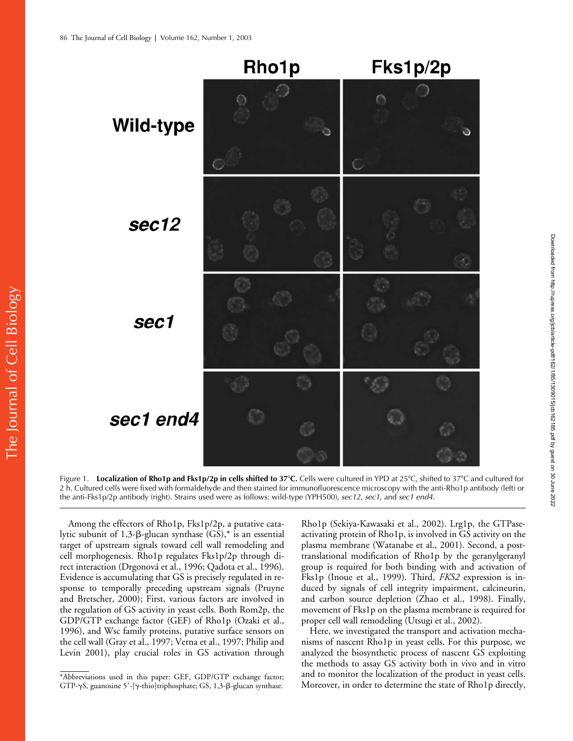

Figure 1. Localization of Rho1p and Fks1p/2p in cells shifted to 37°C. Cells were cultured in YPD at 25°C, shifted to 37°C and cultured for 2 h. Cultured cells were fixed with formaldehyde and then stained for immunofluorescence microscopy with the anti-Rho1p antibody (left) or the anti-Fks1p/2p antibody (right). Strains used were as follows: wild-type (YPH500), *sec12*, *sec1*, and *sec1 end4*.

Among the effectors of Rho1p, Fks1p/2p, a putative catalytic subunit of 1,3-β-glucan synthase (GS),\* is an essential target of upstream signals toward cell wall remodeling and cell morphogenesis. Rho1p regulates Fks1p/2p through direct interaction (Drgonová et al., 1996; Qadota et al., 1996). Evidence is accumulating that GS is precisely regulated in response to temporally preceding upstream signals (Pruyne and Bretscher, 2000); First, various factors are involved in the regulation of GS activity in yeast cells. Both Rom2p, the GDP/GTP exchange factor (GEF) of Rho1p (Ozaki et al., 1996), and Wsc family proteins, putative surface sensors on the cell wall (Gray et al., 1997; Verna et al., 1997; Philip and Levin 2001), play crucial roles in GS activation through

Rho1p (Sekiya-Kawasaki et al., 2002). Lrg1p, the GTPaseactivating protein of Rho1p, is involved in GS activity on the plasma membrane (Watanabe et al., 2001). Second, a posttranslational modification of Rho1p by the geranylgeranyl group is required for both binding with and activation of Fks1p (Inoue et al., 1999). Third, *FKS2* expression is induced by signals of cell integrity impairment, calcineurin, and carbon source depletion (Zhao et al., 1998). Finally, movement of Fks1p on the plasma membrane is required for proper cell wall remodeling (Utsugi et al., 2002).

Here, we investigated the transport and activation mechanisms of nascent Rho1p in yeast cells. For this purpose, we analyzed the biosynthetic process of nascent GS exploiting the methods to assay GS activity both in vivo and in vitro and to monitor the localization of the product in yeast cells. \*Abbreviations used in this paper: GEF, GDP/GTP exchange factor; and to monitor the localization of the product in yeast cells.<br>GTP-yS, guanosine 5'-[y-thio]triphosphate; GS, 1,3-B-glucan synthase. Moreover, in order to de

GTP-yS, guanosine 5'-[y-thio]triphosphate; GS, 1,3-ß-glucan synthase.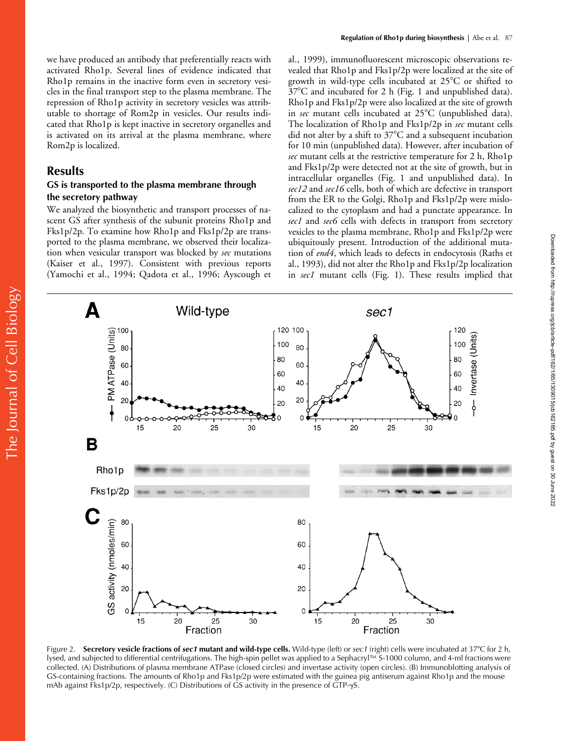we have produced an antibody that preferentially reacts with activated Rho1p. Several lines of evidence indicated that Rho1p remains in the inactive form even in secretory vesicles in the final transport step to the plasma membrane. The repression of Rho1p activity in secretory vesicles was attributable to shortage of Rom2p in vesicles. Our results indicated that Rho1p is kept inactive in secretory organelles and is activated on its arrival at the plasma membrane, where Rom2p is localized.

# **Results**

## **GS is transported to the plasma membrane through the secretory pathway**

We analyzed the biosynthetic and transport processes of nascent GS after synthesis of the subunit proteins Rho1p and Fks1p/2p. To examine how Rho1p and Fks1p/2p are transported to the plasma membrane, we observed their localization when vesicular transport was blocked by *sec* mutations (Kaiser et al., 1997). Consistent with previous reports (Yamochi et al., 1994; Qadota et al., 1996; Ayscough et al., 1999), immunofluorescent microscopic observations revealed that Rho1p and Fks1p/2p were localized at the site of growth in wild-type cells incubated at  $25^{\circ}$ C or shifted to  $37^{\circ}$ C and incubated for 2 h (Fig. 1 and unpublished data). Rho1p and Fks1p/2p were also localized at the site of growth in *sec* mutant cells incubated at 25°C (unpublished data). The localization of Rho1p and Fks1p/2p in *sec* mutant cells did not alter by a shift to  $37^{\circ}$ C and a subsequent incubation for 10 min (unpublished data). However, after incubation of *sec* mutant cells at the restrictive temperature for 2 h, Rho1p and Fks1p/2p were detected not at the site of growth, but in intracellular organelles (Fig. 1 and unpublished data). In *sec12* and *sec16* cells, both of which are defective in transport from the ER to the Golgi, Rho1p and Fks1p/2p were mislocalized to the cytoplasm and had a punctate appearance. In *sec1* and *sec6* cells with defects in transport from secretory vesicles to the plasma membrane, Rho1p and Fks1p/2p were ubiquitously present. Introduction of the additional mutation of *end4*, which leads to defects in endocytosis (Raths et al., 1993), did not alter the Rho1p and Fks1p/2p localization in *sec1* mutant cells (Fig. 1). These results implied that



Figure 2. **Secretory vesicle fractions of** *sec1* **mutant and wild-type cells.** Wild-type (left) or *sec1* (right) cells were incubated at 37C for 2 h, lysed, and subjected to differential centrifugations. The high-spin pellet was applied to a Sephacryl™ S-1000 column, and 4-ml fractions were collected. (A) Distributions of plasma membrane ATPase (closed circles) and invertase activity (open circles). (B) Immunoblotting analysis of GS-containing fractions. The amounts of Rho1p and Fks1p/2p were estimated with the guinea pig antiserum against Rho1p and the mouse mAb against Fks1p/2p, respectively. (C) Distributions of GS activity in the presence of GTP- $\gamma$ S.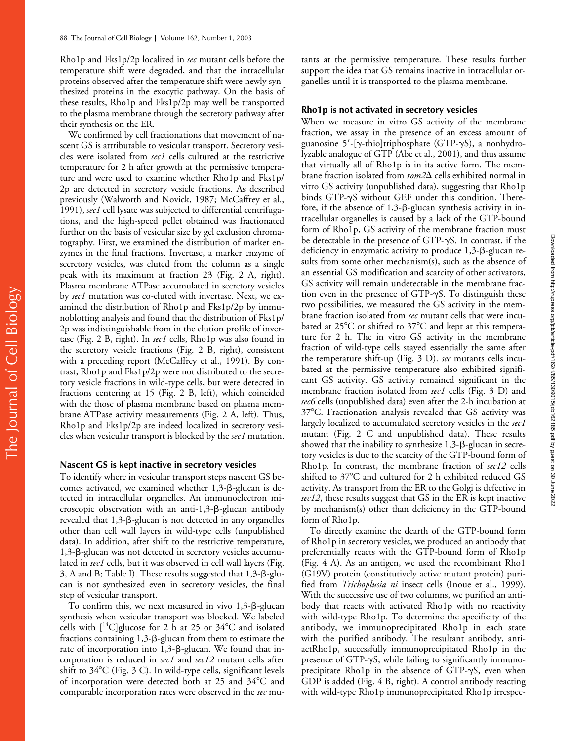Rho1p and Fks1p/2p localized in *sec* mutant cells before the temperature shift were degraded, and that the intracellular proteins observed after the temperature shift were newly synthesized proteins in the exocytic pathway. On the basis of these results, Rho1p and Fks1p/2p may well be transported to the plasma membrane through the secretory pathway after their synthesis on the ER.

We confirmed by cell fractionations that movement of nascent GS is attributable to vesicular transport. Secretory vesicles were isolated from *sec1* cells cultured at the restrictive temperature for 2 h after growth at the permissive temperature and were used to examine whether Rho1p and Fks1p/ 2p are detected in secretory vesicle fractions. As described previously (Walworth and Novick, 1987; McCaffrey et al., 1991), *sec1* cell lysate was subjected to differential centrifugations, and the high-speed pellet obtained was fractionated further on the basis of vesicular size by gel exclusion chromatography. First, we examined the distribution of marker enzymes in the final fractions. Invertase, a marker enzyme of secretory vesicles, was eluted from the column as a single peak with its maximum at fraction 23 (Fig. 2 A, right). Plasma membrane ATPase accumulated in secretory vesicles by *sec1* mutation was co-eluted with invertase. Next, we examined the distribution of Rho1p and Fks1p/2p by immunoblotting analysis and found that the distribution of Fks1p/ 2p was indistinguishable from in the elution profile of invertase (Fig. 2 B, right). In *sec1* cells, Rho1p was also found in the secretory vesicle fractions (Fig. 2 B, right), consistent with a preceding report (McCaffrey et al., 1991). By contrast, Rho1p and Fks1p/2p were not distributed to the secretory vesicle fractions in wild-type cells, but were detected in fractions centering at 15 (Fig. 2 B, left), which coincided with the those of plasma membrane based on plasma membrane ATPase activity measurements (Fig. 2 A, left). Thus, Rho1p and Fks1p/2p are indeed localized in secretory vesicles when vesicular transport is blocked by the *sec1* mutation.

#### **Nascent GS is kept inactive in secretory vesicles**

To identify where in vesicular transport steps nascent GS becomes activated, we examined whether 1,3- $\beta$ -glucan is detected in intracellular organelles. An immunoelectron microscopic observation with an anti-1,3-ß-glucan antibody revealed that 1,3- $\beta$ -glucan is not detected in any organelles other than cell wall layers in wild-type cells (unpublished data). In addition, after shift to the restrictive temperature, 1,3-ß-glucan was not detected in secretory vesicles accumulated in *sec1* cells, but it was observed in cell wall layers (Fig. 3, A and B; Table I). These results suggested that 1,3-B-glucan is not synthesized even in secretory vesicles, the final step of vesicular transport.

To confirm this, we next measured in vivo 1,3- $\beta$ -glucan synthesis when vesicular transport was blocked. We labeled cells with  $[14C]$ glucose for 2 h at 25 or 34°C and isolated fractions containing  $1,3$ - $\beta$ -glucan from them to estimate the rate of incorporation into 1,3-ß-glucan. We found that incorporation is reduced in *sec1* and *sec12* mutant cells after shift to  $34^{\circ}$ C (Fig. 3 C). In wild-type cells, significant levels of incorporation were detected both at 25 and 34°C and comparable incorporation rates were observed in the *sec* mu-

tants at the permissive temperature. These results further support the idea that GS remains inactive in intracellular organelles until it is transported to the plasma membrane.

### **Rho1p is not activated in secretory vesicles**

When we measure in vitro GS activity of the membrane fraction, we assay in the presence of an excess amount of guanosine 5'-[ $\gamma$ -thio]triphosphate (GTP- $\gamma$ S), a nonhydrolyzable analogue of GTP (Abe et al., 2001), and thus assume that virtually all of Rho1p is in its active form. The membrane fraction isolated from *rom2* $\Delta$  cells exhibited normal in vitro GS activity (unpublished data), suggesting that Rho1p binds GTP- $\gamma$ S without GEF under this condition. Therefore, if the absence of  $1,3$ - $\beta$ -glucan synthesis activity in intracellular organelles is caused by a lack of the GTP-bound form of Rho1p, GS activity of the membrane fraction must be detectable in the presence of  $GTP-\gamma S$ . In contrast, if the deficiency in enzymatic activity to produce 1,3-ß-glucan results from some other mechanism(s), such as the absence of an essential GS modification and scarcity of other activators, GS activity will remain undetectable in the membrane fraction even in the presence of  $GTP-\gamma S$ . To distinguish these two possibilities, we measured the GS activity in the membrane fraction isolated from *sec* mutant cells that were incubated at 25 $^{\circ}$ C or shifted to 37 $^{\circ}$ C and kept at this temperature for 2 h. The in vitro GS activity in the membrane fraction of wild-type cells stayed essentially the same after the temperature shift-up (Fig. 3 D). *sec* mutants cells incubated at the permissive temperature also exhibited significant GS activity. GS activity remained significant in the membrane fraction isolated from *sec1* cells (Fig. 3 D) and *sec6* cells (unpublished data) even after the 2-h incubation at 37C. Fractionation analysis revealed that GS activity was largely localized to accumulated secretory vesicles in the *sec1* mutant (Fig. 2 C and unpublished data). These results showed that the inability to synthesize 1,3-B-glucan in secretory vesicles is due to the scarcity of the GTP-bound form of Rho1p. In contrast, the membrane fraction of *sec12* cells shifted to 37°C and cultured for 2 h exhibited reduced GS activity. As transport from the ER to the Golgi is defective in *sec12*, these results suggest that GS in the ER is kept inactive by mechanism(s) other than deficiency in the GTP-bound form of Rho1p.

To directly examine the dearth of the GTP-bound form of Rho1p in secretory vesicles, we produced an antibody that preferentially reacts with the GTP-bound form of Rho1p (Fig. 4 A). As an antigen, we used the recombinant Rho1 (G19V) protein (constitutively active mutant protein) purified from *Trichoplusia ni* insect cells (Inoue et al., 1999). With the successive use of two columns, we purified an antibody that reacts with activated Rho1p with no reactivity with wild-type Rho1p. To determine the specificity of the antibody, we immunoprecipitated Rho1p in each state with the purified antibody. The resultant antibody, antiactRho1p, successfully immunoprecipitated Rho1p in the presence of GTP- $\gamma$ S, while failing to significantly immunoprecipitate Rho1p in the absence of  $GTP-\gamma S$ , even when GDP is added (Fig. 4 B, right). A control antibody reacting with wild-type Rho1p immunoprecipitated Rho1p irrespec-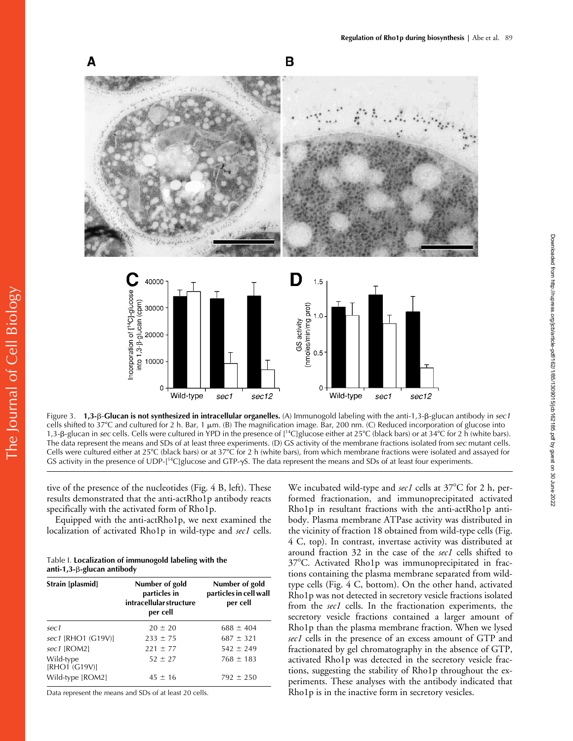Downloaded from http://rupress.org/jcb/article-pdf/162/1/85/1309015/jcb162185.pdf by guest on 30 June 2022

Downloaded from http://rupress.org/jcb/article-pdf/162/185/1309015/jcb162185.pdf by guest on 30 June 2022



Figure 3. **1,3-β-Glucan is not synthesized in intracellular organelles.** (A) Immunogold labeling with the anti-1,3-β-glucan antibody in *sec1* cells shifted to 37°C and cultured for 2 h. Bar, 1  $\mu$ m. (B) The magnification image. Bar, 200 nm. (C) Reduced incorporation of glucose into 1,3-B-glucan in *sec* cells. Cells were cultured in YPD in the presence of [<sup>14</sup>C]glucose either at 25°C (black bars) or at 34°C for 2 h (white bars). The data represent the means and SDs of at least three experiments. (D) GS activity of the membrane fractions isolated from *sec* mutant cells. Cells were cultured either at 25°C (black bars) or at 37°C for 2 h (white bars), from which membrane fractions were isolated and assayed for GS activity in the presence of  $UDP-[14C]$ glucose and GTP- $\gamma S$ . The data represent the means and SDs of at least four experiments.

tive of the presence of the nucleotides (Fig. 4 B, left). These results demonstrated that the anti-actRho1p antibody reacts specifically with the activated form of Rho1p.

Equipped with the anti-actRho1p, we next examined the localization of activated Rho1p in wild-type and *sec1* cells.

| Table I. Localization of immunogold labeling with the |  |
|-------------------------------------------------------|--|
| anti-1,3- $\beta$ -glucan antibody                    |  |

| Strain [plasmid]           | Number of gold<br>particles in<br><i>intracellular structure</i><br>per cell | Number of gold<br>particles in cell wall<br>per cell |
|----------------------------|------------------------------------------------------------------------------|------------------------------------------------------|
| sec1                       | $20 \pm 20$                                                                  | $688 \pm 404$                                        |
| sec1 [RHO1 (G19V)]         | $233 \pm 75$                                                                 | $687 \pm 321$                                        |
| sec1 [ROM2]                | $221 \pm 77$                                                                 | $542 \pm 249$                                        |
| Wild-type<br>[RHO1 (G19V)] | $52 \pm 27$                                                                  | $768 \pm 183$                                        |
| Wild-type [ROM2]           | $45 \pm 16$                                                                  | $792 \pm 250$                                        |

Data represent the means and SDs of at least 20 cells.

We incubated wild-type and *sec1* cells at 37°C for 2 h, performed fractionation, and immunoprecipitated activated Rho1p in resultant fractions with the anti-actRho1p antibody. Plasma membrane ATPase activity was distributed in the vicinity of fraction 18 obtained from wild-type cells (Fig. 4 C, top). In contrast, invertase activity was distributed at around fraction 32 in the case of the *sec1* cells shifted to 37C. Activated Rho1p was immunoprecipitated in fractions containing the plasma membrane separated from wildtype cells (Fig. 4 C, bottom). On the other hand, activated Rho1p was not detected in secretory vesicle fractions isolated from the *sec1* cells. In the fractionation experiments, the secretory vesicle fractions contained a larger amount of Rho1p than the plasma membrane fraction. When we lysed *sec1* cells in the presence of an excess amount of GTP and fractionated by gel chromatography in the absence of GTP, activated Rho1p was detected in the secretory vesicle fractions, suggesting the stability of Rho1p throughout the experiments. These analyses with the antibody indicated that Rho1p is in the inactive form in secretory vesicles.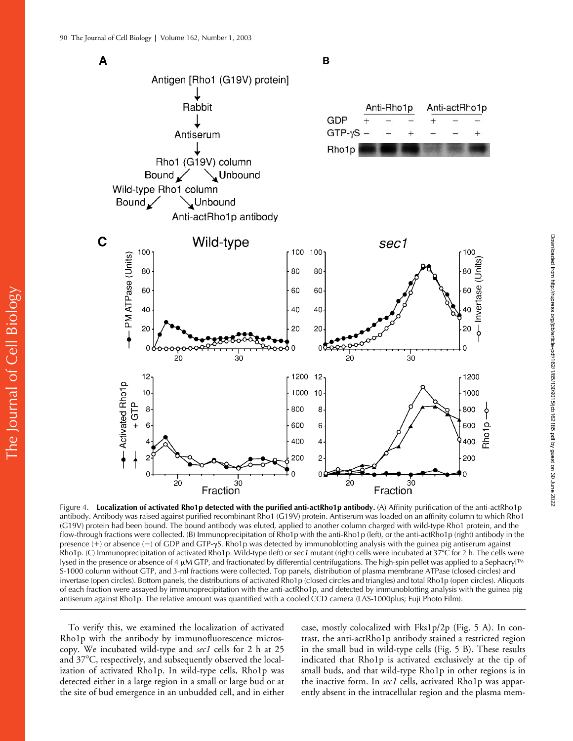The Journal of Cell Biology

The Journal of Cell Biology



Figure 4. **Localization of activated Rho1p detected with the purified anti-actRho1p antibody.** (A) Affinity purification of the anti-actRho1p antibody. Antibody was raised against purified recombinant Rho1 (G19V) protein. Antiserum was loaded on an affinity column to which Rho1 (G19V) protein had been bound. The bound antibody was eluted, applied to another column charged with wild-type Rho1 protein, and the flow-through fractions were collected. (B) Immunoprecipitation of Rho1p with the anti-Rho1p (left), or the anti-actRho1p (right) antibody in the presence  $(+)$  or absence  $(-)$  of GDP and GTP- $\gamma S$ . Rho1p was detected by immunoblotting analysis with the guinea pig antiserum against Rho1p. (C) Immunoprecipitation of activated Rho1p. Wild-type (left) or *sec1* mutant (right) cells were incubated at 37C for 2 h. The cells were lysed in the presence or absence of 4  $\mu$ M GTP, and fractionated by differential centrifugations. The high-spin pellet was applied to a Sephacryl™ S-1000 column without GTP, and 3-ml fractions were collected. Top panels, distribution of plasma membrane ATPase (closed circles) and invertase (open circles). Bottom panels, the distributions of activated Rho1p (closed circles and triangles) and total Rho1p (open circles). Aliquots of each fraction were assayed by immunoprecipitation with the anti-actRho1p, and detected by immunoblotting analysis with the guinea pig antiserum against Rho1p. The relative amount was quantified with a cooled CCD camera (LAS-1000plus; Fuji Photo Film).

To verify this, we examined the localization of activated Rho1p with the antibody by immunofluorescence microscopy. We incubated wild-type and *sec1* cells for 2 h at 25 and  $37^{\circ}$ C, respectively, and subsequently observed the localization of activated Rho1p. In wild-type cells, Rho1p was detected either in a large region in a small or large bud or at the site of bud emergence in an unbudded cell, and in either

case, mostly colocalized with Fks1p/2p (Fig. 5 A). In contrast, the anti-actRho1p antibody stained a restricted region in the small bud in wild-type cells (Fig. 5 B). These results indicated that Rho1p is activated exclusively at the tip of small buds, and that wild-type Rho1p in other regions is in the inactive form. In *sec1* cells, activated Rho1p was apparently absent in the intracellular region and the plasma mem-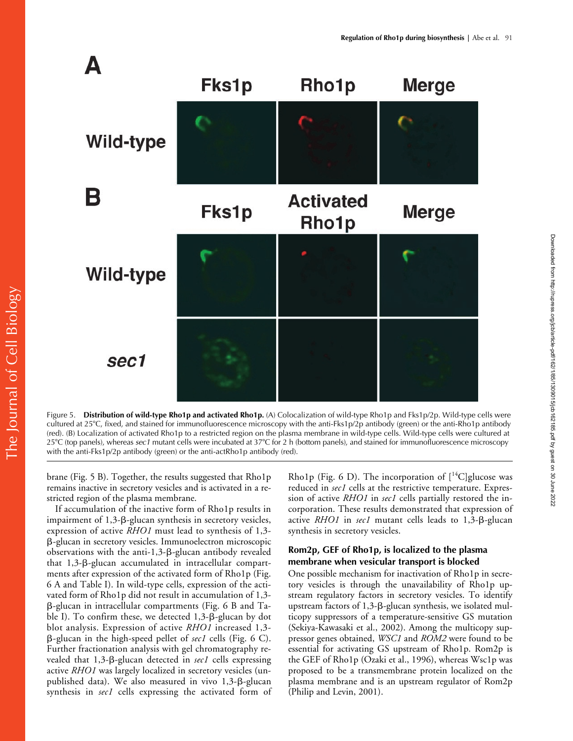

Figure 5. **Distribution of wild-type Rho1p and activated Rho1p.** (A) Colocalization of wild-type Rho1p and Fks1p/2p. Wild-type cells were cultured at 25°C, fixed, and stained for immunofluorescence microscopy with the anti-Fks1p/2p antibody (green) or the anti-Rho1p antibody (red). (B) Localization of activated Rho1p to a restricted region on the plasma membrane in wild-type cells. Wild-type cells were cultured at 25C (top panels), whereas *sec1* mutant cells were incubated at 37C for 2 h (bottom panels), and stained for immunofluorescence microscopy with the anti-Fks1p/2p antibody (green) or the anti-actRho1p antibody (red).

brane (Fig. 5 B). Together, the results suggested that Rho1p remains inactive in secretory vesicles and is activated in a restricted region of the plasma membrane.

If accumulation of the inactive form of Rho1p results in impairment of 1,3-ß-glucan synthesis in secretory vesicles, expression of active *RHO1* must lead to synthesis of 1,3- --glucan in secretory vesicles. Immunoelectron microscopic observations with the anti-1,3-β-glucan antibody revealed that 1,3-ß-glucan accumulated in intracellular compartments after expression of the activated form of Rho1p (Fig. 6 A and Table I). In wild-type cells, expression of the activated form of Rho1p did not result in accumulation of 1,3- --glucan in intracellular compartments (Fig. 6 B and Table I). To confirm these, we detected 1,3-β-glucan by dot blot analysis. Expression of active *RHO1* increased 1,3- --glucan in the high-speed pellet of *sec1* cells (Fig. 6 C). Further fractionation analysis with gel chromatography revealed that 1,3-<sub>B</sub>-glucan detected in *sec1* cells expressing active *RHO1* was largely localized in secretory vesicles (unpublished data). We also measured in vivo 1,3-ß-glucan synthesis in *sec1* cells expressing the activated form of Rho1p (Fig. 6 D). The incorporation of  $[^{14}C]$ glucose was reduced in *sec1* cells at the restrictive temperature. Expression of active *RHO1* in *sec1* cells partially restored the incorporation. These results demonstrated that expression of active *RHO1* in *sec1* mutant cells leads to 1,3-B-glucan synthesis in secretory vesicles.

## **Rom2p, GEF of Rho1p, is localized to the plasma membrane when vesicular transport is blocked**

One possible mechanism for inactivation of Rho1p in secretory vesicles is through the unavailability of Rho1p upstream regulatory factors in secretory vesicles. To identify upstream factors of 1,3- $\beta$ -glucan synthesis, we isolated multicopy suppressors of a temperature-sensitive GS mutation (Sekiya-Kawasaki et al., 2002). Among the multicopy suppressor genes obtained, *WSC1* and *ROM2* were found to be essential for activating GS upstream of Rho1p. Rom2p is the GEF of Rho1p (Ozaki et al., 1996), whereas Wsc1p was proposed to be a transmembrane protein localized on the plasma membrane and is an upstream regulator of Rom2p (Philip and Levin, 2001).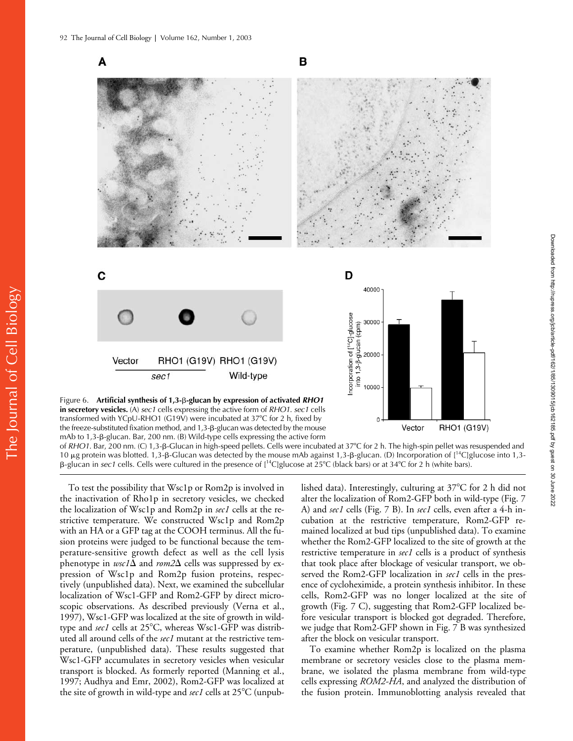

the freeze-substituted fixation method, and 1,3-β-glucan was detected by the mouse mAb to 1,3-β-glucan. Bar, 200 nm. (B) Wild-type cells expressing the active form

of *RHO1*. Bar, 200 nm. (C) 1,3-β-Glucan in high-speed pellets. Cells were incubated at 37°C for 2 h. The high-spin pellet was resuspended and 10  $\mu$ g protein was blotted. 1,3-B-Glucan was detected by the mouse mAb against 1,3-B-glucan. (D) Incorporation of [<sup>14</sup>C]glucose into 1,3- $\beta$ -glucan in *sec1* cells. Cells were cultured in the presence of [<sup>14</sup>C]glucose at 25°C (black bars) or at 34°C for 2 h (white bars).

To test the possibility that Wsc1p or Rom2p is involved in the inactivation of Rho1p in secretory vesicles, we checked the localization of Wsc1p and Rom2p in *sec1* cells at the restrictive temperature. We constructed Wsc1p and Rom2p with an HA or a GFP tag at the COOH terminus. All the fusion proteins were judged to be functional because the temperature-sensitive growth defect as well as the cell lysis phenotype in  $wsc1\Delta$  and  $rom2\Delta$  cells was suppressed by expression of Wsc1p and Rom2p fusion proteins, respectively (unpublished data). Next, we examined the subcellular localization of Wsc1-GFP and Rom2-GFP by direct microscopic observations. As described previously (Verna et al., 1997), Wsc1-GFP was localized at the site of growth in wildtype and *sec1* cells at 25°C, whereas Wsc1-GFP was distributed all around cells of the *sec1* mutant at the restrictive temperature, (unpublished data). These results suggested that Wsc1-GFP accumulates in secretory vesicles when vesicular transport is blocked. As formerly reported (Manning et al., 1997; Audhya and Emr, 2002), Rom2-GFP was localized at the site of growth in wild-type and *sec1* cells at 25°C (unpub-

lished data). Interestingly, culturing at  $37^{\circ}$ C for 2 h did not alter the localization of Rom2-GFP both in wild-type (Fig. 7 A) and *sec1* cells (Fig. 7 B). In *sec1* cells, even after a 4-h incubation at the restrictive temperature, Rom2-GFP remained localized at bud tips (unpublished data). To examine whether the Rom2-GFP localized to the site of growth at the restrictive temperature in *sec1* cells is a product of synthesis that took place after blockage of vesicular transport, we observed the Rom2-GFP localization in *sec1* cells in the presence of cycloheximide, a protein synthesis inhibitor. In these cells, Rom2-GFP was no longer localized at the site of growth (Fig. 7 C), suggesting that Rom2-GFP localized before vesicular transport is blocked got degraded. Therefore, we judge that Rom2-GFP shown in Fig. 7 B was synthesized after the block on vesicular transport.

To examine whether Rom2p is localized on the plasma membrane or secretory vesicles close to the plasma membrane, we isolated the plasma membrane from wild-type cells expressing *ROM2-HA*, and analyzed the distribution of the fusion protein. Immunoblotting analysis revealed that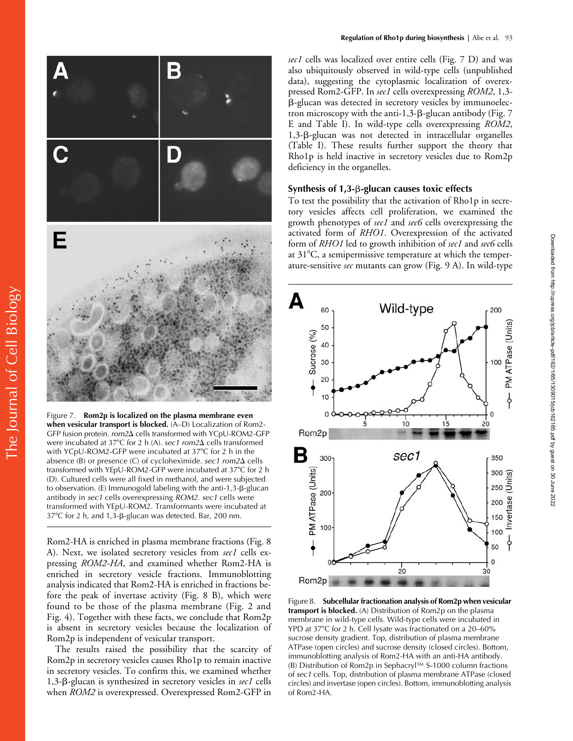

Figure 7. **Rom2p is localized on the plasma membrane even when vesicular transport is blocked.** (A–D) Localization of Rom2- GFP fusion protein. *rom2* $\Delta$  cells transformed with YCpU-ROM2-GFP were incubated at 37°C for 2 h (A). *sec1 rom2* $\Delta$  cells transformed with YCpU-ROM2-GFP were incubated at 37°C for 2 h in the absence (B) or presence (C) of cycloheximide. *sec1* rom2 $\Delta$  cells transformed with YEpU-ROM2-GFP were incubated at 37°C for 2 h (D). Cultured cells were all fixed in methanol, and were subjected to observation. (Ε) Immunogold labeling with the anti-1,3-β-glucan antibody in *sec1* cells overexpressing *ROM2*. *sec1* cells were transformed with YEpU-ROM2. Transformants were incubated at 37°C for 2 h, and 1,3-β-glucan was detected. Bar, 200 nm.

Rom2-HA is enriched in plasma membrane fractions (Fig. 8 A). Next, we isolated secretory vesicles from *sec1* cells expressing *ROM2-HA*, and examined whether Rom2-HA is enriched in secretory vesicle fractions. Immunoblotting analysis indicated that Rom2-HA is enriched in fractions before the peak of invertase activity (Fig. 8 B), which were found to be those of the plasma membrane (Fig. 2 and Fig. 4). Together with these facts, we conclude that Rom2p is absent in secretory vesicles because the localization of Rom2p is independent of vesicular transport.

The results raised the possibility that the scarcity of Rom2p in secretory vesicles causes Rho1p to remain inactive in secretory vesicles. To confirm this, we examined whether 1,3-B-glucan is synthesized in secretory vesicles in sec1 cells when *ROM2* is overexpressed. Overexpressed Rom2-GFP in *sec1* cells was localized over entire cells (Fig. 7 D) and was also ubiquitously observed in wild-type cells (unpublished data), suggesting the cytoplasmic localization of overexpressed Rom2-GFP. In *sec1* cells overexpressing *ROM2*, 1,3- --glucan was detected in secretory vesicles by immunoelectron microscopy with the anti-1,3-ß-glucan antibody (Fig. 7 E and Table I). In wild-type cells overexpressing *ROM2*, 1,3-B-glucan was not detected in intracellular organelles (Table I). These results further support the theory that Rho1p is held inactive in secretory vesicles due to Rom2p deficiency in the organelles.

#### Synthesis of 1,3-**β-glucan causes toxic effects**

To test the possibility that the activation of Rho1p in secretory vesicles affects cell proliferation, we examined the growth phenotypes of *sec1* and *sec6* cells overexpressing the activated form of *RHO1*. Overexpression of the activated form of *RHO1* led to growth inhibition of *sec1* and *sec6* cells at  $31^{\circ}$ C, a semipermissive temperature at which the temperature-sensitive *sec* mutants can grow (Fig. 9 A). In wild-type



Figure 8. **Subcellular fractionation analysis of Rom2p when vesicular transport is blocked.** (A) Distribution of Rom2p on the plasma membrane in wild-type cells. Wild-type cells were incubated in YPD at 37°C for 2 h. Cell lysate was fractionated on a 20–60% sucrose density gradient. Top, distribution of plasma membrane ATPase (open circles) and sucrose density (closed circles). Bottom, immunoblotting analysis of Rom2-HA with an anti-HA antibody. (B) Distribution of Rom2p in Sephacryl™ S-1000 column fractions of *sec1* cells. Top, distribution of plasma membrane ATPase (closed circles) and invertase (open circles). Bottom, immunoblotting analysis of Rom2-HA.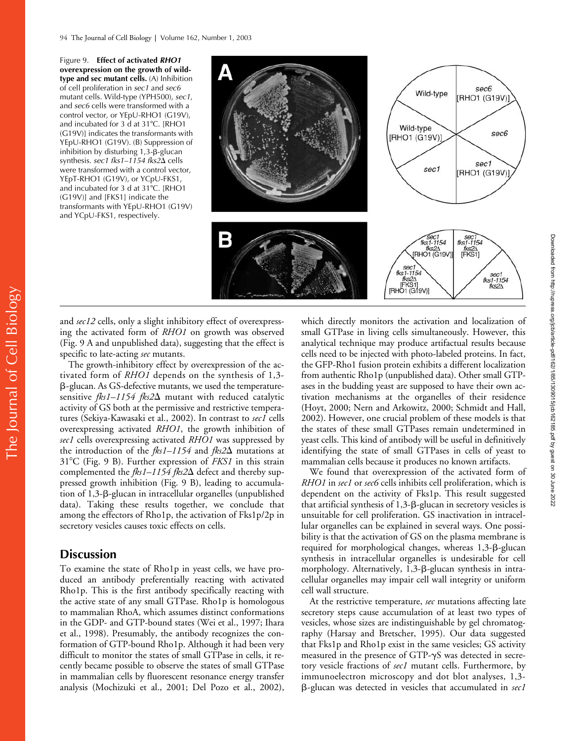Figure 9. **Effect of activated** *RHO1* **overexpression on the growth of wildtype and sec mutant cells.** (A) Inhibition of cell proliferation in *sec1* and *sec6* mutant cells. Wild-type (YPH500), *sec1*, and *sec6* cells were transformed with a control vector, or YEpU-RHO1 (G19V), and incubated for 3 d at 31°C. [RHO1 (G19V)] indicates the transformants with YEpU-RHO1 (G19V). (B) Suppression of inhibition by disturbing  $1,3$ - $\beta$ -glucan synthesis. sec1 fks1-1154 fks2 $\Delta$  cells were transformed with a control vector, YEpT-RHO1 (G19V), or YCpU-FKS1, and incubated for 3 d at 31°C. [RHO1 (G19V)] and [FKS1] indicate the transformants with YEpU-RHO1 (G19V) and YCpU-FKS1, respectively.



and *sec12* cells, only a slight inhibitory effect of overexpressing the activated form of *RHO1* on growth was observed (Fig. 9 A and unpublished data), suggesting that the effect is specific to late-acting *sec* mutants.

The growth-inhibitory effect by overexpression of the activated form of *RHO1* depends on the synthesis of 1,3- --glucan. As GS-defective mutants, we used the temperaturesensitive *fks1–1154 fks2* mutant with reduced catalytic activity of GS both at the permissive and restrictive temperatures (Sekiya-Kawasaki et al., 2002). In contrast to *sec1* cells overexpressing activated *RHO1*, the growth inhibition of *sec1* cells overexpressing activated *RHO1* was suppressed by the introduction of the  $fks1-1154$  and  $fks2\Delta$  mutations at 31C (Fig. 9 B). Further expression of *FKS1* in this strain complemented the *fks1–1154 fks2*Δ defect and thereby suppressed growth inhibition (Fig. 9 B), leading to accumulation of 1,3-ß-glucan in intracellular organelles (unpublished data). Taking these results together, we conclude that among the effectors of Rho1p, the activation of Fks1p/2p in secretory vesicles causes toxic effects on cells.

# **Discussion**

To examine the state of Rho1p in yeast cells, we have produced an antibody preferentially reacting with activated Rho1p. This is the first antibody specifically reacting with the active state of any small GTPase. Rho1p is homologous to mammalian RhoA, which assumes distinct conformations in the GDP- and GTP-bound states (Wei et al., 1997; Ihara et al., 1998). Presumably, the antibody recognizes the conformation of GTP-bound Rho1p. Although it had been very difficult to monitor the states of small GTPase in cells, it recently became possible to observe the states of small GTPase in mammalian cells by fluorescent resonance energy transfer analysis (Mochizuki et al., 2001; Del Pozo et al., 2002),

which directly monitors the activation and localization of small GTPase in living cells simultaneously. However, this analytical technique may produce artifactual results because cells need to be injected with photo-labeled proteins. In fact, the GFP-Rho1 fusion protein exhibits a different localization from authentic Rho1p (unpublished data). Other small GTPases in the budding yeast are supposed to have their own activation mechanisms at the organelles of their residence (Hoyt, 2000; Nern and Arkowitz, 2000; Schmidt and Hall, 2002). However, one crucial problem of these models is that the states of these small GTPases remain undetermined in yeast cells. This kind of antibody will be useful in definitively identifying the state of small GTPases in cells of yeast to mammalian cells because it produces no known artifacts.

We found that overexpression of the activated form of *RHO1* in *sec1* or *sec6* cells inhibits cell proliferation, which is dependent on the activity of Fks1p. This result suggested that artificial synthesis of 1,3-B-glucan in secretory vesicles is unsuitable for cell proliferation. GS inactivation in intracellular organelles can be explained in several ways. One possibility is that the activation of GS on the plasma membrane is required for morphological changes, whereas 1,3-B-glucan synthesis in intracellular organelles is undesirable for cell morphology. Alternatively, 1,3-ß-glucan synthesis in intracellular organelles may impair cell wall integrity or uniform cell wall structure.

At the restrictive temperature, *sec* mutations affecting late secretory steps cause accumulation of at least two types of vesicles, whose sizes are indistinguishable by gel chromatography (Harsay and Bretscher, 1995). Our data suggested that Fks1p and Rho1p exist in the same vesicles; GS activity measured in the presence of GTP- $\gamma$ S was detected in secretory vesicle fractions of *sec1* mutant cells. Furthermore, by immunoelectron microscopy and dot blot analyses, 1,3- --glucan was detected in vesicles that accumulated in *sec1*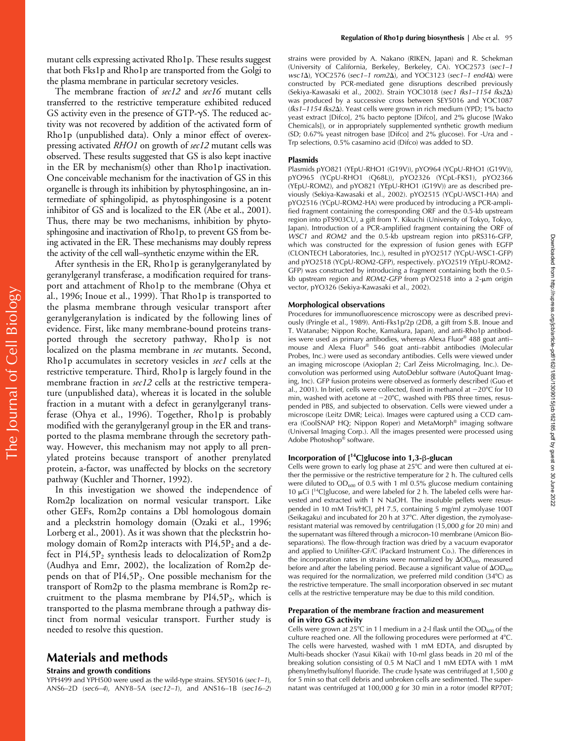The membrane fraction of *sec12* and *sec16* mutant cells transferred to the restrictive temperature exhibited reduced GS activity even in the presence of GTP- $\gamma$ S. The reduced activity was not recovered by addition of the activated form of Rho1p (unpublished data). Only a minor effect of overexpressing activated *RHO1* on growth of *sec12* mutant cells was observed. These results suggested that GS is also kept inactive in the ER by mechanism(s) other than Rho1p inactivation. One conceivable mechanism for the inactivation of GS in this organelle is through its inhibition by phytosphingosine, an intermediate of sphingolipid, as phytosphingosine is a potent inhibitor of GS and is localized to the ER (Abe et al., 2001). Thus, there may be two mechanisms, inhibition by phytosphingosine and inactivation of Rho1p, to prevent GS from being activated in the ER. These mechanisms may doubly repress the activity of the cell wall–synthetic enzyme within the ER.

After synthesis in the ER, Rho1p is geranylgeranylated by geranylgeranyl transferase, a modification required for transport and attachment of Rho1p to the membrane (Ohya et al., 1996; Inoue et al., 1999). That Rho1p is transported to the plasma membrane through vesicular transport after geranylgeranylation is indicated by the following lines of evidence. First, like many membrane-bound proteins transported through the secretory pathway, Rho1p is not localized on the plasma membrane in *sec* mutants. Second, Rho1p accumulates in secretory vesicles in *sec1* cells at the restrictive temperature. Third, Rho1p is largely found in the membrane fraction in *sec12* cells at the restrictive temperature (unpublished data), whereas it is located in the soluble fraction in a mutant with a defect in geranylgeranyl transferase (Ohya et al., 1996). Together, Rho1p is probably modified with the geranylgeranyl group in the ER and transported to the plasma membrane through the secretory pathway. However, this mechanism may not apply to all prenylated proteins because transport of another prenylated protein, a-factor, was unaffected by blocks on the secretory pathway (Kuchler and Thorner, 1992).

In this investigation we showed the independence of Rom2p localization on normal vesicular transport. Like other GEFs, Rom2p contains a Dbl homologous domain and a pleckstrin homology domain (Ozaki et al., 1996; Lorberg et al., 2001). As it was shown that the pleckstrin homology domain of Rom2p interacts with  $PI4,5P_2$  and a defect in  $PI4,5P_2$  synthesis leads to delocalization of Rom2p (Audhya and Emr, 2002), the localization of Rom2p depends on that of PI4,5P<sub>2</sub>. One possible mechanism for the transport of Rom2p to the plasma membrane is Rom2p recruitment to the plasma membrane by  $PI4,5P_2$ , which is transported to the plasma membrane through a pathway distinct from normal vesicular transport. Further study is needed to resolve this question.

# **Materials and methods**

#### **Strains and growth conditions**

YPH499 and YPH500 were used as the wild-type strains. SEY5016 (*sec1–1*), ANS6–2D (*sec6–4*), ANY8–5A (*sec12–1*), and ANS16–1B (*sec16–2*) strains were provided by A. Nakano (RIKEN, Japan) and R. Schekman (University of California, Berkeley, Berkeley, CA). YOC2573 (*sec1–1 wsc1*), YOC2576 (*sec1–1 rom2*), and YOC3123 (*sec1–1 end4*) were constructed by PCR-mediated gene disruptions described previously (Sekiya-Kawasaki et al., 2002). Strain YOC3018 (*sec1 fks1–1154 fks2*) was produced by a successive cross between SEY5016 and YOC1087 (*fks1–1154 fks2*). Yeast cells were grown in rich medium (YPD; 1% bacto yeast extract [Difco], 2% bacto peptone [Difco], and 2% glucose [Wako Chemicals]), or in appropriately supplemented synthetic growth medium (SD; 0.67% yeast nitrogen base [Difco] and 2% glucose). For -Ura and - Trp selections, 0.5% casamino acid (Difco) was added to SD.

#### **Plasmids**

Plasmids pYO821 (YEpU-RHO1 (G19V)), pYO964 (YCpU-RHO1 (G19V)), pYO965 (YCpU-RHO1 (Q68L)), pYO2326 (YCpL-FKS1), pYO2366 (YEpU-ROM2), and pYO821 (YEpU-RHO1 (G19V)) are as described previously (Sekiya-Kawasaki et al., 2002). pYO2515 (YCpU-WSC1-HA) and pYO2516 (YCpU-ROM2-HA) were produced by introducing a PCR-amplified fragment containing the corresponding ORF and the 0.5-kb upstream region into pTS903CU, a gift from Y. Kikuchi (University of Tokyo, Tokyo, Japan). Introduction of a PCR-amplified fragment containing the ORF of *WSC1* and *ROM2* and the 0.5-kb upstream region into pRS316-GFP, which was constructed for the expression of fusion genes with EGFP (CLONTECH Laboratories, Inc.), resulted in pYO2517 (YCpU-WSC1-GFP) and pYO2518 (YCpU-ROM2-GFP), respectively. pYO2519 (YEpU-ROM2- GFP) was constructed by introducing a fragment containing both the 0.5 kb upstream region and *ROM2-GFP* from pYO2518 into a 2-um origin vector, pYO326 (Sekiya-Kawasaki et al., 2002).

#### **Morphological observations**

Procedures for immunofluorescence microscopy were as described previously (Pringle et al., 1989). Anti-Fks1p/2p (2D8, a gift from S.B. Inoue and T. Watanabe; Nippon Roche, Kamakura, Japan), and anti-Rho1p antibodies were used as primary antibodies, whereas Alexa Fluor® 488 goat anti– mouse and Alexa Fluor® 546 goat anti–rabbit antibodies (Molecular Probes, Inc.) were used as secondary antibodies. Cells were viewed under an imaging microscope (Axioplan 2; Carl Zeiss MicroImaging, Inc.). Deconvolution was performed using AutoDeblur software (AutoQuant Imaging, Inc). GFP fusion proteins were observed as formerly described (Guo et al., 2001). In brief, cells were collected, fixed in methanol at  $-20^{\circ}$ C for 10 min, washed with acetone at  $-20^{\circ}$ C, washed with PBS three times, resuspended in PBS, and subjected to observation. Cells were viewed under a microscope (Leitz DMR; Leica). Images were captured using a CCD camera (CoolSNAP HQ; Nippon Roper) and MetaMorph® imaging software (Universal Imaging Corp.). All the images presented were processed using Adobe Photoshop® software.

Downloaded from http://rupress.org/jcb/article-pdf/162/185/1309015/jcb162185.pdf by guest on 30 June 2022 Downloaded from http://rupress.org/jcb/article-pdf/162/1/85/1309015/jcb162185.pdf by guest on 30 June 2022

#### Incorporation of [<sup>14</sup>C]glucose into 1,3-β-glucan

Cells were grown to early log phase at  $25^{\circ}$ C and were then cultured at either the permissive or the restrictive temperature for 2 h. The cultured cells were diluted to  $OD_{600}$  of 0.5 with 1 ml 0.5% glucose medium containing 10  $\mu$ Ci [<sup>14</sup>C]glucose, and were labeled for 2 h. The labeled cells were harvested and extracted with 1 N NaOH. The insoluble pellets were resuspended in 10 mM Tris/HCl, pH 7.5, containing 5 mg/ml zymolyase 100T (Seikagaku) and incubated for 20 h at 37°C. After digestion, the zymolyaseresistant material was removed by centrifugation (15,000 *g* for 20 min) and the supernatant was filtered through a microcon-10 membrane (Amicon Bioseparations). The flow-through fraction was dried by a vacuum evaporator and applied to Unifilter-GF/C (Packard Instrument Co.). The differences in the incorporation rates in strains were normalized by  $\Delta OD_{600}$ , measured before and after the labeling period. Because a significant value of  $\Delta OD_{600}$ was required for the normalization, we preferred mild condition (34°C) as the restrictive temperature. The small incorporation observed in *sec* mutant cells at the restrictive temperature may be due to this mild condition.

#### **Preparation of the membrane fraction and measurement of in vitro GS activity**

Cells were grown at 25°C in 1 l medium in a 2-l flask until the  $OD_{600}$  of the culture reached one. All the following procedures were performed at 4°C. The cells were harvested, washed with 1 mM EDTA, and disrupted by Multi-beads shocker (Yasui Kikai) with 10-ml glass beads in 20 ml of the breaking solution consisting of 0.5 M NaCl and 1 mM EDTA with 1 mM phenylmethylsulfonyl fluoride. The crude lysate was centrifuged at 1,500 *g* for 5 min so that cell debris and unbroken cells are sedimented. The supernatant was centrifuged at 100,000 *g* for 30 min in a rotor (model RP70T;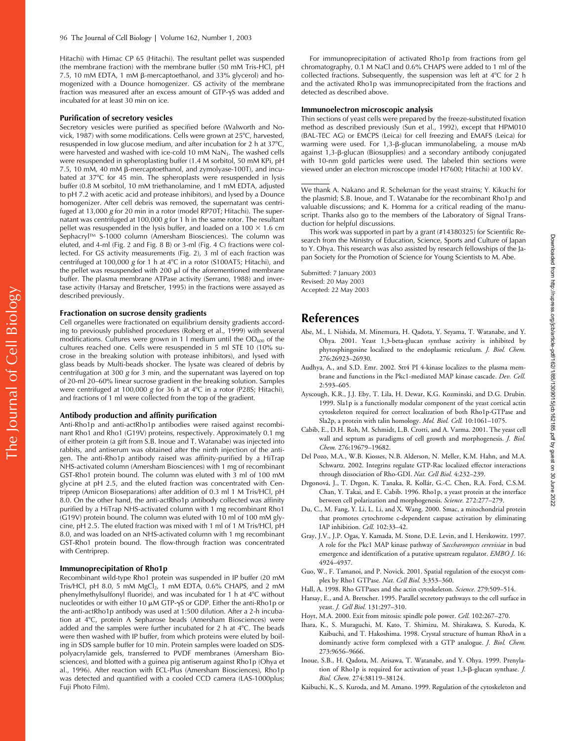Hitachi) with Himac CP 65 (Hitachi). The resultant pellet was suspended (the membrane fraction) with the membrane buffer (50 mM Tris-HCl, pH 7.5, 10 mM EDTA, 1 mM β-mercaptoethanol, and 33% glycerol) and homogenized with a Dounce homogenizer. GS activity of the membrane fraction was measured after an excess amount of  $GTP-\gamma S$  was added and incubated for at least 30 min on ice.

#### **Purification of secretory vesicles**

Secretory vesicles were purified as specified before (Walworth and Novick, 1987) with some modifications. Cells were grown at  $25^{\circ}$ C, harvested, resuspended in low glucose medium, and after incubation for 2 h at 37°C, were harvested and washed with ice-cold 10 mM NaN<sub>3</sub>. The washed cells were resuspended in spheroplasting buffer (1.4 M sorbitol, 50 mM KPi, pH 7.5, 10 mM, 40 mM β-mercaptoethanol, and zymolyase-100T), and incubated at 37°C for 45 min. The spheroplasts were resuspended in lysis buffer (0.8 M sorbitol, 10 mM triethanolamine, and 1 mM EDTA, adjusted to pH 7.2 with acetic acid and protease inhibitors), and lysed by a Dounce homogenizer. After cell debris was removed, the supernatant was centrifuged at 13,000 *g* for 20 min in a rotor (model RP70T; Hitachi). The supernatant was centrifuged at 100,000 *g* for 1 h in the same rotor. The resultant pellet was resuspended in the lysis buffer, and loaded on a  $100 \times 1.6$  cm Sephacryl™ S-1000 column (Amersham Biosciences). The column was eluted, and 4-ml (Fig. 2 and Fig. 8 B) or 3-ml (Fig. 4 C) fractions were collected. For GS activity measurements (Fig. 2), 3 ml of each fraction was centrifuged at 100,000 *g* for 1 h at 4°C in a rotor (S100AT5; Hitachi), and the pellet was resuspended with 200  $\mu$ l of the aforementioned membrane buffer. The plasma membrane ATPase activity (Serrano, 1988) and invertase activity (Harsay and Bretscher, 1995) in the fractions were assayed as described previously.

#### **Fractionation on sucrose density gradients**

Cell organelles were fractionated on equilibrium density gradients according to previously published procedures (Roberg et al., 1999) with several modifications. Cultures were grown in 1 l medium until the  $OD<sub>600</sub>$  of the cultures reached one. Cells were resuspended in 5 ml STE 10 (10% sucrose in the breaking solution with protease inhibitors), and lysed with glass beads by Multi-beads shocker. The lysate was cleared of debris by centrifugation at 300 *g* for 3 min, and the supernatant was layered on top of 20-ml 20–60% linear sucrose gradient in the breaking solution. Samples were centrifuged at 100,000 *g* for 36 h at 4°C in a rotor (P28S; Hitachi), and fractions of 1 ml were collected from the top of the gradient.

#### **Antibody production and affinity purification**

Anti-Rho1p and anti-actRho1p antibodies were raised against recombinant Rho1 and Rho1 (G19V) proteins, respectively. Approximately 0.1 mg of either protein (a gift from S.B. Inoue and T. Watanabe) was injected into rabbits, and antiserum was obtained after the ninth injection of the antigen. The anti-Rho1p antibody raised was affinity-purified by a HiTrap NHS-activated column (Amersham Biosciences) with 1 mg of recombinant GST-Rho1 protein bound. The column was eluted with 3 ml of 100 mM glycine at pH 2.5, and the eluted fraction was concentrated with Centriprep (Amicon Bioseparations) after addition of 0.3 ml 1 M Tris/HCl, pH 8.0. On the other hand, the anti-actRho1p antibody collected was affinity purified by a HiTrap NHS-activated column with 1 mg recombinant Rho1 (G19V) protein bound. The column was eluted with 10 ml of 100 mM glycine, pH 2.5. The eluted fraction was mixed with 1 ml of 1 M Tris/HCl, pH 8.0, and was loaded on an NHS-activated column with 1 mg recombinant GST-Rho1 protein bound. The flow-through fraction was concentrated with Centriprep.

#### **Immunoprecipitation of Rho1p**

Recombinant wild-type Rho1 protein was suspended in IP buffer (20 mM Tris/HCl, pH 8.0, 5 mM MgCl<sub>2</sub>, 1 mM EDTA, 0.6% CHAPS, and 2 mM phenylmethylsulfonyl fluoride), and was incubated for 1 h at 4°C without nucleotides or with either 10  $\mu$ M GTP- $\gamma$ S or GDP. Either the anti-Rho1p or the anti-actRho1p antibody was used at 1:500 dilution. After a 2-h incubation at 4°C, protein A Sepharose beads (Amersham Biosciences) were added and the samples were further incubated for 2 h at  $4^{\circ}$ C. The beads were then washed with IP buffer, from which proteins were eluted by boiling in SDS sample buffer for 10 min. Protein samples were loaded on SDSpolyacrylamide gels, transferred to PVDF membranes (Amersham Biosciences), and blotted with a guinea pig antiserum against Rho1p (Ohya et al., 1996). After reaction with ECL-Plus (Amersham Biosciences), Rho1p was detected and quantified with a cooled CCD camera (LAS-1000plus; Fuji Photo Film).

For immunoprecipitation of activated Rho1p from fractions from gel chromatography, 0.1 M NaCl and 0.6% CHAPS were added to 1 ml of the collected fractions. Subsequently, the suspension was left at  $4^{\circ}C$  for 2 h and the activated Rho1p was immunoprecipitated from the fractions and detected as described above.

#### **Immunoelectron microscopic analysis**

Thin sections of yeast cells were prepared by the freeze-substituted fixation method as described previously (Sun et al., 1992), except that HPM010 (BAL-TEC AG) or EMCPS (Leica) for cell freezing and EMAFS (Leica) for warming were used. For 1,3-β-glucan immunolabeling, a mouse mAb against 1,3-β-glucan (Biosupplies) and a secondary antibody conjugated with 10-nm gold particles were used. The labeled thin sections were viewed under an electron microscope (model H7600; Hitachi) at 100 kV.

We thank A. Nakano and R. Schekman for the yeast strains; Y. Kikuchi for the plasmid; S.B. Inoue, and T. Watanabe for the recombinant Rho1p and valuable discussions; and K. Homma for a critical reading of the manuscript. Thanks also go to the members of the Laboratory of Signal Transduction for helpful discussions.

This work was supported in part by a grant (#14380325) for Scientific Research from the Ministry of Education, Science, Sports and Culture of Japan to Y. Ohya. This research was also assisted by research fellowships of the Japan Society for the Promotion of Science for Young Scientists to M. Abe.

Submitted: 7 January 2003 Revised: 20 May 2003 Accepted: 22 May 2003

# **References**

- Abe, M., I. Nishida, M. Minemura, H. Qadota, Y. Seyama, T. Watanabe, and Y. Ohya. 2001. Yeast 1,3-beta-glucan synthase activity is inhibited by phytosphingosine localized to the endoplasmic reticulum. *J. Biol. Chem.* 276:26923–26930.
- Audhya, A., and S.D. Emr. 2002. Stt4 PI 4-kinase localizes to the plasma membrane and functions in the Pkc1-mediated MAP kinase cascade. *Dev. Cell.* 2:593–605.
- Ayscough, K.R., J.J. Eby, T. Lila, H. Dewar, K.G. Kozminski, and D.G. Drubin. 1999. Sla1p is a functionally modular component of the yeast cortical actin cytoskeleton required for correct localization of both Rho1p-GTPase and Sla2p, a protein with talin homology. *Mol. Biol. Cell.* 10:1061–1075.
- Cabib, E., D.H. Roh, M. Schmidt, L.B. Crotti, and A. Varma. 2001. The yeast cell wall and septum as paradigms of cell growth and morphogenesis. *J. Biol. Chem.* 276:19679–19682.
- Del Pozo, M.A., W.B. Kiosses, N.B. Alderson, N. Meller, K.M. Hahn, and M.A. Schwartz. 2002. Integrins regulate GTP-Rac localized effector interactions through dissociation of Rho-GDI. *Nat. Cell Biol.* 4:232–239.
- Drgonová, J., T. Drgon, K. Tanaka, R. Kollár, G.-C. Chen, R.A. Ford, C.S.M. Chan, Y. Takai, and E. Cabib. 1996. Rho1p, a yeast protein at the interface between cell polarization and morphogenesis. *Science.* 272:277–279.
- Du, C., M. Fang, Y. Li, L. Li, and X. Wang. 2000. Smac, a mitochondrial protein that promotes cytochrome c-dependent caspase activation by eliminating IAP inhibition. *Cell.* 102:33–42.
- Gray, J.V., J.P. Ogas, Y. Kamada, M. Stone, D.E. Levin, and I. Herskowitz. 1997. A role for the Pkc1 MAP kinase pathway of *Saccharomyces cerevisiae* in bud emergence and identification of a putative upstream regulator. *EMBO J.* 16: 4924–4937.
- Guo, W., F. Tamanoi, and P. Novick. 2001. Spatial regulation of the exocyst complex by Rho1 GTPase. *Nat. Cell Biol.* 3:353–360.
- Hall, A. 1998. Rho GTPases and the actin cytoskeleton. *Science.* 279:509–514.
- Harsay, E., and A. Bretscher. 1995. Parallel secretory pathways to the cell surface in yeast. *J. Cell Biol.* 131:297–310.
- Hoyt, M.A. 2000. Exit from mitosis: spindle pole power. *Cell.* 102:267–270.
- Ihara, K., S. Muraguchi, M. Kato, T. Shimizu, M. Shirakawa, S. Kuroda, K. Kaibuchi, and T. Hakoshima. 1998. Crystal structure of human RhoA in a dominantly active form complexed with a GTP analogue. *J. Biol. Chem.* 273:9656–9666.
- Inoue, S.B., H. Qadota, M. Arisawa, T. Watanabe, and Y. Ohya. 1999. Prenylation of Rho1p is required for activation of yeast 1,3- $\beta$ -glucan synthase. *J. Biol. Chem.* 274:38119–38124.
- Kaibuchi, K., S. Kuroda, and M. Amano. 1999. Regulation of the cytoskeleton and